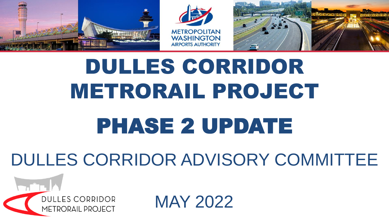





# DULLES CORRIDOR METRORAIL PROJECT

# PHASE 2 UPDATE

#### DULLES CORRIDOR ADVISORY COMMITTEE



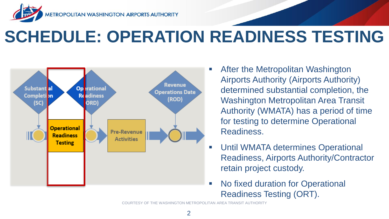

#### **SCHEDULE: OPERATION READINESS TESTING**



- After the Metropolitan Washington Airports Authority (Airports Authority) determined substantial completion, the Washington Metropolitan Area Transit Authority (WMATA) has a period of time for testing to determine Operational Readiness.
- **Until WMATA determines Operational** Readiness, Airports Authority/Contractor retain project custody.
- No fixed duration for Operational Readiness Testing (ORT).

COURTESY OF THE WASHINGTON METROPOLITAN AREA TRANSIT AUTHORITY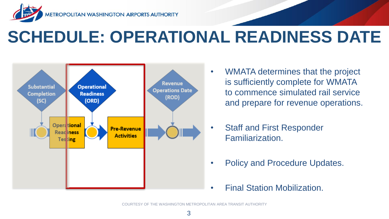

#### **SCHEDULE: OPERATIONAL READINESS DATE**



- WMATA determines that the project is sufficiently complete for WMATA to commence simulated rail service and prepare for revenue operations.
- Staff and First Responder Familiarization.
- Policy and Procedure Updates.
- Final Station Mobilization.

COURTESY OF THE WASHINGTON METROPOLITAN AREA TRANSIT AUTHORITY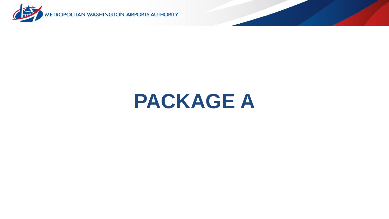

# **PACKAGE A**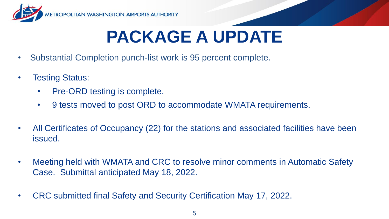

#### **PACKAGE A UPDATE**

- Substantial Completion punch-list work is 95 percent complete.
- Testing Status:
	- Pre-ORD testing is complete.
	- 9 tests moved to post ORD to accommodate WMATA requirements.
- All Certificates of Occupancy (22) for the stations and associated facilities have been issued.
- Meeting held with WMATA and CRC to resolve minor comments in Automatic Safety Case. Submittal anticipated May 18, 2022.
- CRC submitted final Safety and Security Certification May 17, 2022.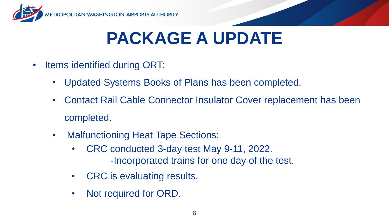

## **PACKAGE A UPDATE**

- Items identified during ORT:
	- Updated Systems Books of Plans has been completed.
	- Contact Rail Cable Connector Insulator Cover replacement has been completed.
	- Malfunctioning Heat Tape Sections:
		- CRC conducted 3-day test May 9-11, 2022. -Incorporated trains for one day of the test.
		- CRC is evaluating results.
		- Not required for ORD.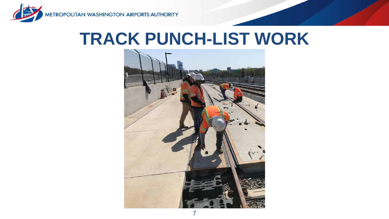

#### **TRACK PUNCH-LIST WORK**

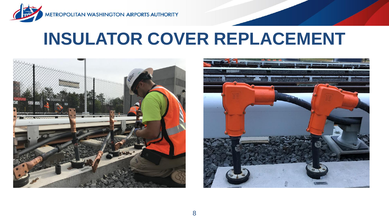

#### **INSULATOR COVER REPLACEMENT**



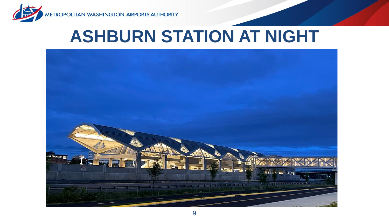



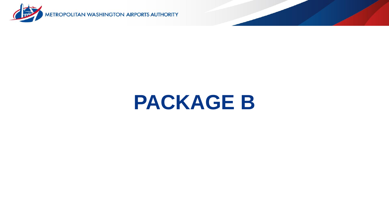

# **PACKAGE B**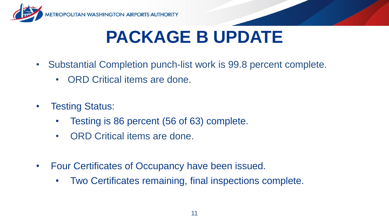

## **PACKAGE B UPDATE**

- Substantial Completion punch-list work is 99.8 percent complete.
	- ORD Critical items are done.
- **Testing Status:** 
	- Testing is 86 percent (56 of 63) complete.
	- ORD Critical items are done.
- Four Certificates of Occupancy have been issued.
	- Two Certificates remaining, final inspections complete.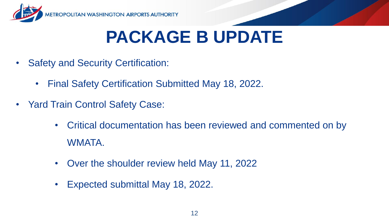

#### **PACKAGE B UPDATE**

- Safety and Security Certification:
	- Final Safety Certification Submitted May 18, 2022.
- Yard Train Control Safety Case:
	- Critical documentation has been reviewed and commented on by WMATA.
	- Over the shoulder review held May 11, 2022
	- Expected submittal May 18, 2022.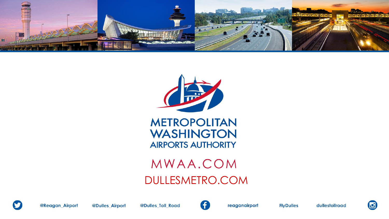



**METROPOLITAN WASHINGTON AIRPORTS AUTHORITY** 

#### MWAA.COM DULLESMETRO.COM



@Reagan\_Airport



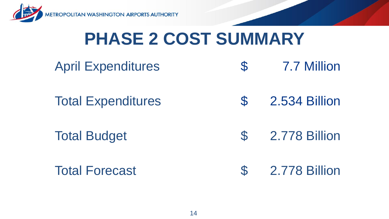

#### **PHASE 2 COST SUMMARY**

| <b>April Expenditures</b> | $\mathcal{S}$ | 7.7 Million   |
|---------------------------|---------------|---------------|
| <b>Total Expenditures</b> | $\mathcal{S}$ | 2.534 Billion |

Total Budget **\$** 2.778 Billion

Total Forecast  $\qquad \qquad$  \$ 2.778 Billion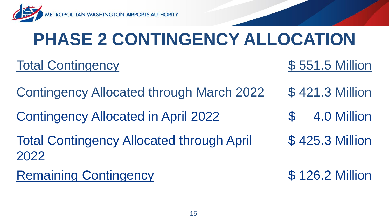

# **PHASE 2 CONTINGENCY ALLOCATION**

#### Total Contingency **\$551.5 Million**

- Contingency Allocated through March 2022 \$ 421.3 Million
- Contingency Allocated in April 2022 \$ 4.0 Million
- Total Contingency Allocated through April 2022
- Remaining Contingency **\$126.2 Million**
- 
- 
- \$ 425.3 Million
-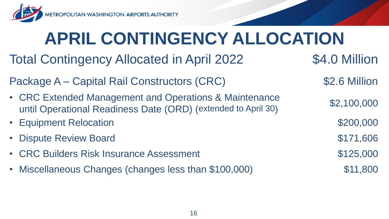

**ROPOLITAN WASHINGTON AIRPORTS AUTHORITY** 

# **APRIL CONTINGENCY ALLOCATION**

- Total Contingency Allocated in April 2022  $$4.0$  Million
- Package A Capital Rail Constructors (CRC)  $$2.6$  Million
- CRC Extended Management and Operations & Maintenance until Operational Readiness Date (ORD) (extended to April 30)
- Equipment Relocation  $$200,000$
- **Dispute Review Board \$171,606**
- **CRC Builders Risk Insurance Assessment 6125,000 \$125,000**
- Miscellaneous Changes (changes less than \$100,000) \$11,800

\$2,100,000